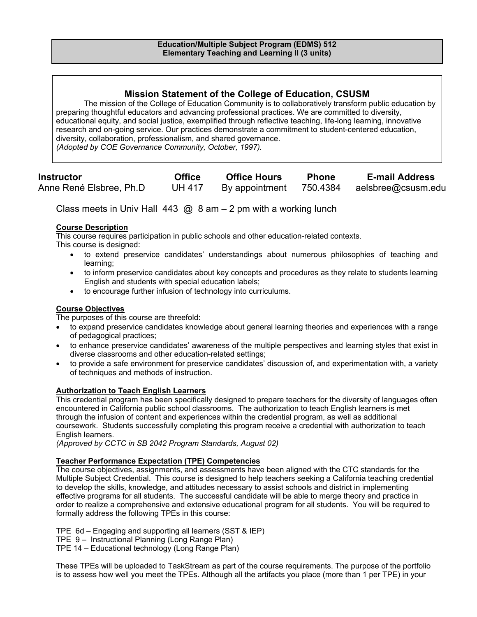# **Mission Statement of the College of Education, CSUSM**

The mission of the College of Education Community is to collaboratively transform public education by preparing thoughtful educators and advancing professional practices. We are committed to diversity, educational equity, and social justice, exemplified through reflective teaching, life-long learning, innovative research and on-going service. Our practices demonstrate a commitment to student-centered education, diversity, collaboration, professionalism, and shared governance. *(Adopted by COE Governance Community, October, 1997).* 

| <b>Instructor</b>        | <b>Office</b> | <b>Office Hours</b> | <b>Phone</b> | <b>E-mail Address</b> |
|--------------------------|---------------|---------------------|--------------|-----------------------|
| Anne René Elsbree, Ph.D. | <b>UH 417</b> | By appointment      | 750.4384     | aelsbree@csusm.edu    |

Class meets in Univ Hall 443  $\omega$  8 am – 2 pm with a working lunch

### **Course Description**

This course requires participation in public schools and other education-related contexts. This course is designed:

- to extend preservice candidates' understandings about numerous philosophies of teaching and learning;
- to inform preservice candidates about key concepts and procedures as they relate to students learning English and students with special education labels;
- to encourage further infusion of technology into curriculums.

### **Course Objectives**

The purposes of this course are threefold:

- to expand preservice candidates knowledge about general learning theories and experiences with a range of pedagogical practices;
- to enhance preservice candidates' awareness of the multiple perspectives and learning styles that exist in diverse classrooms and other education-related settings;
- to provide a safe environment for preservice candidates' discussion of, and experimentation with, a variety of techniques and methods of instruction.

### **Authorization to Teach English Learners**

This credential program has been specifically designed to prepare teachers for the diversity of languages often encountered in California public school classrooms. The authorization to teach English learners is met through the infusion of content and experiences within the credential program, as well as additional coursework. Students successfully completing this program receive a credential with authorization to teach English learners.

*(Approved by CCTC in SB 2042 Program Standards, August 02)*

### **Teacher Performance Expectation (TPE) Competencies**

The course objectives, assignments, and assessments have been aligned with the CTC standards for the Multiple Subject Credential. This course is designed to help teachers seeking a California teaching credential to develop the skills, knowledge, and attitudes necessary to assist schools and district in implementing effective programs for all students. The successful candidate will be able to merge theory and practice in order to realize a comprehensive and extensive educational program for all students. You will be required to formally address the following TPEs in this course:

TPE 6d – Engaging and supporting all learners (SST & IEP)

TPE 9 – Instructional Planning (Long Range Plan)

TPE 14 – Educational technology (Long Range Plan)

These TPEs will be uploaded to TaskStream as part of the course requirements. The purpose of the portfolio is to assess how well you meet the TPEs. Although all the artifacts you place (more than 1 per TPE) in your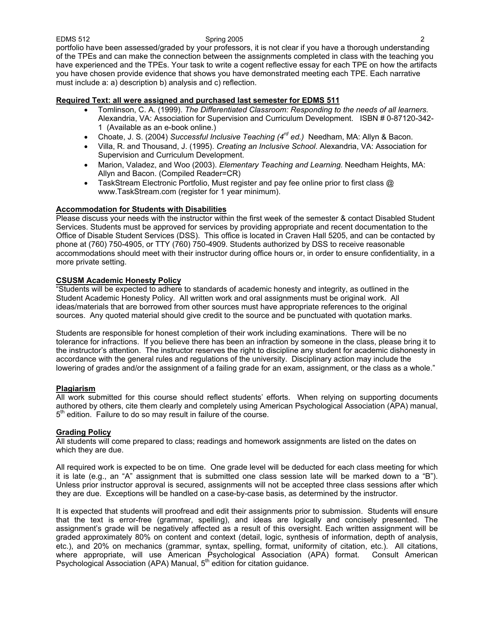EDMS 512 Spring 2005 2 portfolio have been assessed/graded by your professors, it is not clear if you have a thorough understanding of the TPEs and can make the connection between the assignments completed in class with the teaching you have experienced and the TPEs. Your task to write a cogent reflective essay for each TPE on how the artifacts you have chosen provide evidence that shows you have demonstrated meeting each TPE. Each narrative must include a: a) description b) analysis and c) reflection.

### **Required Text: all were assigned and purchased last semester for EDMS 511**

- Tomlinson, C. A. (1999). *The Differentiated Classroom: Responding to the needs of all learners.*  Alexandria, VA: Association for Supervision and Curriculum Development. ISBN # 0-87120-342- 1 (Available as an e-book online.)
- Choate, J. S. (2004) *Successful Inclusive Teaching (4rd ed.)* Needham, MA: Allyn & Bacon.
- Villa, R. and Thousand, J. (1995). *Creating an Inclusive School*. Alexandria, VA: Association for Supervision and Curriculum Development.
- Marion, Valadez, and Woo (2003). *Elementary Teaching and Learning.* Needham Heights, MA: Allyn and Bacon. (Compiled Reader=CR)
- TaskStream Electronic Portfolio, Must register and pay fee online prior to first class @ www.TaskStream.com (register for 1 year minimum).

### **Accommodation for Students with Disabilities**

Please discuss your needs with the instructor within the first week of the semester & contact Disabled Student Services. Students must be approved for services by providing appropriate and recent documentation to the Office of Disable Student Services (DSS). This office is located in Craven Hall 5205, and can be contacted by phone at (760) 750-4905, or TTY (760) 750-4909. Students authorized by DSS to receive reasonable accommodations should meet with their instructor during office hours or, in order to ensure confidentiality, in a more private setting.

### **CSUSM Academic Honesty Policy**

"Students will be expected to adhere to standards of academic honesty and integrity, as outlined in the Student Academic Honesty Policy. All written work and oral assignments must be original work. All ideas/materials that are borrowed from other sources must have appropriate references to the original sources. Any quoted material should give credit to the source and be punctuated with quotation marks.

Students are responsible for honest completion of their work including examinations. There will be no tolerance for infractions. If you believe there has been an infraction by someone in the class, please bring it to the instructor's attention. The instructor reserves the right to discipline any student for academic dishonesty in accordance with the general rules and regulations of the university. Disciplinary action may include the lowering of grades and/or the assignment of a failing grade for an exam, assignment, or the class as a whole."

### **Plagiarism**

All work submitted for this course should reflect students' efforts. When relying on supporting documents authored by others, cite them clearly and completely using American Psychological Association (APA) manual,  $5<sup>th</sup>$  edition. Failure to do so may result in failure of the course.

### **Grading Policy**

All students will come prepared to class; readings and homework assignments are listed on the dates on which they are due.

All required work is expected to be on time. One grade level will be deducted for each class meeting for which it is late (e.g., an "A" assignment that is submitted one class session late will be marked down to a "B"). Unless prior instructor approval is secured, assignments will not be accepted three class sessions after which they are due. Exceptions will be handled on a case-by-case basis, as determined by the instructor.

It is expected that students will proofread and edit their assignments prior to submission. Students will ensure that the text is error-free (grammar, spelling), and ideas are logically and concisely presented. The assignment's grade will be negatively affected as a result of this oversight. Each written assignment will be graded approximately 80% on content and context (detail, logic, synthesis of information, depth of analysis, etc.), and 20% on mechanics (grammar, syntax, spelling, format, uniformity of citation, etc.). All citations, where appropriate, will use American Psychological Association (APA) format. Consult American Psychological Association (APA) Manual, 5<sup>th</sup> edition for citation guidance.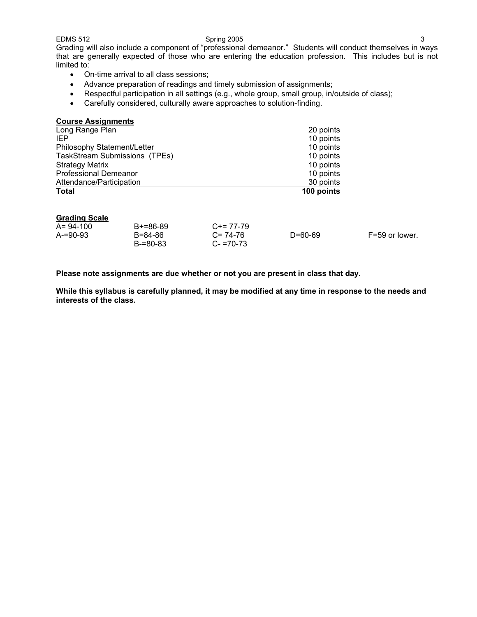EDMS 512 Spring 2005 3 Grading will also include a component of "professional demeanor." Students will conduct themselves in ways that are generally expected of those who are entering the education profession. This includes but is not limited to:

- On-time arrival to all class sessions;
- Advance preparation of readings and timely submission of assignments;
- Respectful participation in all settings (e.g., whole group, small group, in/outside of class);
- Carefully considered, culturally aware approaches to solution-finding.

### **Course Assignments**

| <b>Total</b>                  | 100 points |
|-------------------------------|------------|
| Attendance/Participation      | 30 points  |
| <b>Professional Demeanor</b>  | 10 points  |
| <b>Strategy Matrix</b>        | 10 points  |
| TaskStream Submissions (TPEs) | 10 points  |
| Philosophy Statement/Letter   | 10 points  |
| IEP                           | 10 points  |
| Long Range Plan               | 20 points  |

### **Grading Scale**

| $A = 94-100$  | $B+=86-89$          | $C+= 77-79$                  |               |                |
|---------------|---------------------|------------------------------|---------------|----------------|
| $A = 90 - 93$ | B=84-86<br>B-=80-83 | $C = 74-76$<br>$C - 70 - 73$ | $D = 60 - 69$ | F=59 or lower. |
|               |                     |                              |               |                |

**Please note assignments are due whether or not you are present in class that day.** 

**While this syllabus is carefully planned, it may be modified at any time in response to the needs and interests of the class.**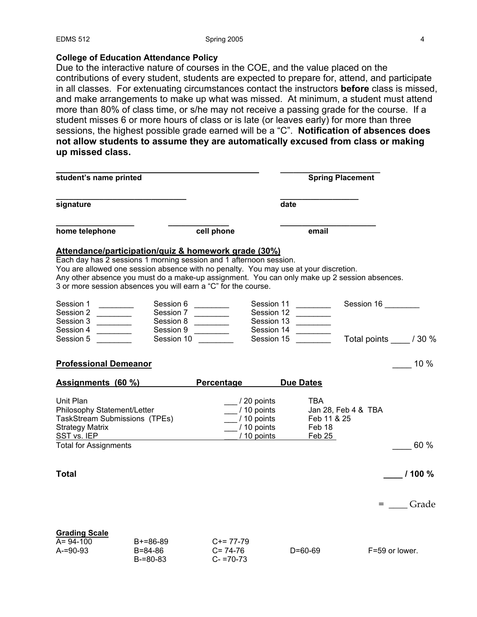## **College of Education Attendance Policy**

B-=80-83

Due to the interactive nature of courses in the COE, and the value placed on the contributions of every student, students are expected to prepare for, attend, and participate in all classes. For extenuating circumstances contact the instructors **before** class is missed, and make arrangements to make up what was missed. At minimum, a student must attend more than 80% of class time, or s/he may not receive a passing grade for the course. If a student misses 6 or more hours of class or is late (or leaves early) for more than three sessions, the highest possible grade earned will be a "C". **Notification of absences does not allow students to assume they are automatically excused from class or making up missed class.** 

| student's name printed                                                                                                                                                                                                                                                                                                                                                                                                                                                                                                                                              |                                     |                                                                                                                                                                                                                                                                                                                                                                                      |                                                                                                                                               | <b>Spring Placement</b> |
|---------------------------------------------------------------------------------------------------------------------------------------------------------------------------------------------------------------------------------------------------------------------------------------------------------------------------------------------------------------------------------------------------------------------------------------------------------------------------------------------------------------------------------------------------------------------|-------------------------------------|--------------------------------------------------------------------------------------------------------------------------------------------------------------------------------------------------------------------------------------------------------------------------------------------------------------------------------------------------------------------------------------|-----------------------------------------------------------------------------------------------------------------------------------------------|-------------------------|
| signature                                                                                                                                                                                                                                                                                                                                                                                                                                                                                                                                                           |                                     |                                                                                                                                                                                                                                                                                                                                                                                      | date                                                                                                                                          |                         |
| home telephone                                                                                                                                                                                                                                                                                                                                                                                                                                                                                                                                                      |                                     | cell phone                                                                                                                                                                                                                                                                                                                                                                           | email                                                                                                                                         |                         |
|                                                                                                                                                                                                                                                                                                                                                                                                                                                                                                                                                                     |                                     | Attendance/participation/quiz & homework grade (30%)<br>Each day has 2 sessions 1 morning session and 1 afternoon session.<br>You are allowed one session absence with no penalty. You may use at your discretion.<br>Any other absence you must do a make-up assignment. You can only make up 2 session absences.<br>3 or more session absences you will earn a "C" for the course. |                                                                                                                                               |                         |
| Session 1<br>Session 2<br>$\frac{1}{2} \left( \frac{1}{2} \right) \left( \frac{1}{2} \right) \left( \frac{1}{2} \right) \left( \frac{1}{2} \right) \left( \frac{1}{2} \right) \left( \frac{1}{2} \right) \left( \frac{1}{2} \right) \left( \frac{1}{2} \right) \left( \frac{1}{2} \right) \left( \frac{1}{2} \right) \left( \frac{1}{2} \right) \left( \frac{1}{2} \right) \left( \frac{1}{2} \right) \left( \frac{1}{2} \right) \left( \frac{1}{2} \right) \left( \frac{1}{2} \right) \left( \frac$<br>Session 3<br>Session 4<br><u>and the state of the state</u> | Session 6<br>Session 7<br>Session 9 | <u> The Community of the Community</u><br>Session 8                                                                                                                                                                                                                                                                                                                                  | Session 11<br>Session 12<br>$\mathcal{L}^{\text{max}}$ and $\mathcal{L}^{\text{max}}$<br>Session 13<br>Session 14<br>$\overline{\phantom{a}}$ | Session 16              |
| Session 5                                                                                                                                                                                                                                                                                                                                                                                                                                                                                                                                                           |                                     | Session 10                                                                                                                                                                                                                                                                                                                                                                           | Session 15                                                                                                                                    | Total points / 30 %     |
| <b>Professional Demeanor</b>                                                                                                                                                                                                                                                                                                                                                                                                                                                                                                                                        |                                     |                                                                                                                                                                                                                                                                                                                                                                                      |                                                                                                                                               | $10\%$                  |
|                                                                                                                                                                                                                                                                                                                                                                                                                                                                                                                                                                     | Assignments (60 %)                  | <b>Percentage</b>                                                                                                                                                                                                                                                                                                                                                                    | <b>Due Dates</b>                                                                                                                              |                         |
| Unit Plan<br>Philosophy Statement/Letter<br>TaskStream Submissions (TPEs)<br><b>Strategy Matrix</b>                                                                                                                                                                                                                                                                                                                                                                                                                                                                 |                                     | / 20 points<br>/ 10 points<br>/ 10 points<br>$\frac{1}{2}$ / 10 points                                                                                                                                                                                                                                                                                                               | TBA<br>Feb 11 & 25<br>Feb 18                                                                                                                  | Jan 28, Feb 4 & TBA     |
| SST vs. IEP<br><b>Total for Assignments</b>                                                                                                                                                                                                                                                                                                                                                                                                                                                                                                                         |                                     | / 10 points                                                                                                                                                                                                                                                                                                                                                                          | Feb 25                                                                                                                                        | 60 %                    |
| <b>Total</b>                                                                                                                                                                                                                                                                                                                                                                                                                                                                                                                                                        |                                     |                                                                                                                                                                                                                                                                                                                                                                                      |                                                                                                                                               | 1100%<br>= Grade        |
| <b>Grading Scale</b><br>A= 94-100<br>$A = 90 - 93$                                                                                                                                                                                                                                                                                                                                                                                                                                                                                                                  | $B+=86-89$<br>B=84-86               | $C+= 77-79$<br>$C = 74-76$                                                                                                                                                                                                                                                                                                                                                           | $D = 60 - 69$                                                                                                                                 | F=59 or lower.          |

 $C - 70 - 73$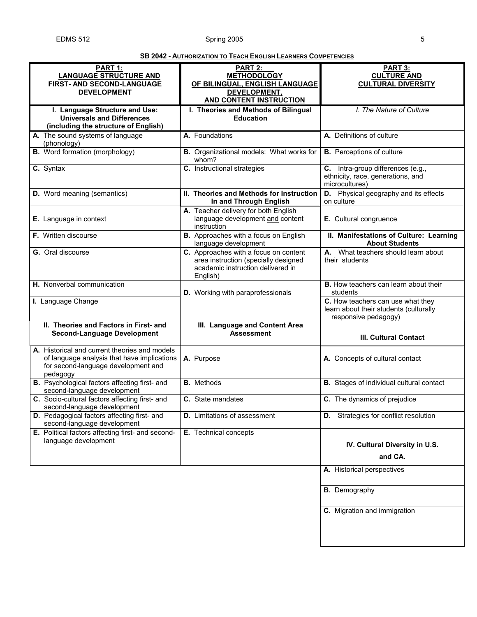### **SB 2042 - AUTHORIZATION TO TEACH ENGLISH LEARNERS COMPETENCIES**

| PART 1:<br><b>LANGUAGE STRUCTURE AND</b><br>FIRST- AND SECOND-LANGUAGE                                                                          | PART 2:<br><b>METHODOLOGY</b><br>OF BILINGUAL, ENGLISH LANGUAGE                                                                | <b>PART 3:</b><br><b>CULTURE AND</b><br><b>CULTURAL DIVERSITY</b>                                   |
|-------------------------------------------------------------------------------------------------------------------------------------------------|--------------------------------------------------------------------------------------------------------------------------------|-----------------------------------------------------------------------------------------------------|
| <b>DEVELOPMENT</b>                                                                                                                              | DEVELOPMENT,<br>AND CONTENT INSTRUCTION                                                                                        |                                                                                                     |
| I. Language Structure and Use:                                                                                                                  | I. Theories and Methods of Bilingual                                                                                           | I. The Nature of Culture                                                                            |
| <b>Universals and Differences</b><br>(including the structure of English)                                                                       | <b>Education</b>                                                                                                               |                                                                                                     |
| A. The sound systems of language<br>(phonology)                                                                                                 | A. Foundations                                                                                                                 | A. Definitions of culture                                                                           |
| <b>B.</b> Word formation (morphology)                                                                                                           | B. Organizational models: What works for<br>whom?                                                                              | <b>B.</b> Perceptions of culture                                                                    |
| C. Syntax                                                                                                                                       | C. Instructional strategies                                                                                                    | C. Intra-group differences (e.g.,<br>ethnicity, race, generations, and<br>microcultures)            |
| <b>D.</b> Word meaning (semantics)                                                                                                              | II. Theories and Methods for Instruction<br>In and Through English                                                             | D. Physical geography and its effects<br>on culture                                                 |
| E. Language in context                                                                                                                          | A. Teacher delivery for both English<br>language development and content<br>instruction                                        | E. Cultural congruence                                                                              |
| F. Written discourse                                                                                                                            | B. Approaches with a focus on English<br>language development                                                                  | II. Manifestations of Culture: Learning<br><b>About Students</b>                                    |
| G. Oral discourse                                                                                                                               | C. Approaches with a focus on content<br>area instruction (specially designed<br>academic instruction delivered in<br>English) | A. What teachers should learn about<br>their students                                               |
| H. Nonverbal communication                                                                                                                      | D. Working with paraprofessionals                                                                                              | <b>B.</b> How teachers can learn about their<br>students                                            |
| I. Language Change                                                                                                                              |                                                                                                                                | C. How teachers can use what they<br>learn about their students (culturally<br>responsive pedagogy) |
| II. Theories and Factors in First- and                                                                                                          | III. Language and Content Area                                                                                                 |                                                                                                     |
| <b>Second-Language Development</b>                                                                                                              | <b>Assessment</b>                                                                                                              | <b>III. Cultural Contact</b>                                                                        |
| A. Historical and current theories and models<br>of language analysis that have implications<br>for second-language development and<br>pedagogy | A. Purpose                                                                                                                     | A. Concepts of cultural contact                                                                     |
| B. Psychological factors affecting first- and<br>second-language development                                                                    | <b>B.</b> Methods                                                                                                              | <b>B.</b> Stages of individual cultural contact                                                     |
| C. Socio-cultural factors affecting first- and<br>second-language development                                                                   | C. State mandates                                                                                                              | C. The dynamics of prejudice                                                                        |
| D. Pedagogical factors affecting first- and<br>second-language development                                                                      | <b>D.</b> Limitations of assessment                                                                                            | <b>D.</b> Strategies for conflict resolution                                                        |
| E. Political factors affecting first- and second-<br>language development                                                                       | E. Technical concepts                                                                                                          | IV. Cultural Diversity in U.S.                                                                      |
|                                                                                                                                                 |                                                                                                                                | and CA.                                                                                             |
|                                                                                                                                                 |                                                                                                                                | A. Historical perspectives                                                                          |
|                                                                                                                                                 |                                                                                                                                | <b>B.</b> Demography                                                                                |
|                                                                                                                                                 |                                                                                                                                | C. Migration and immigration                                                                        |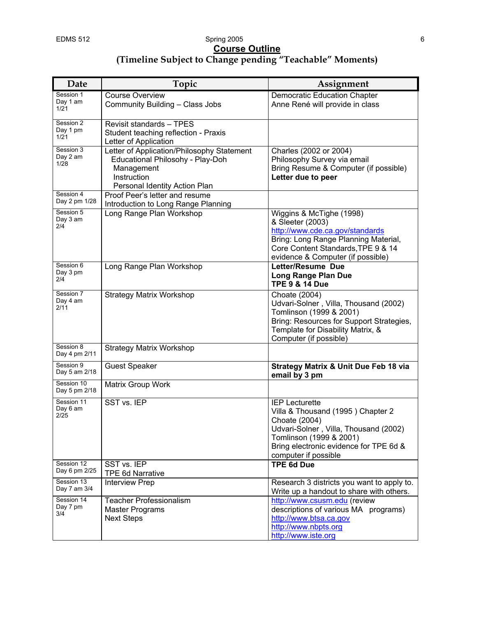### EDMS 512 Spring 2005 6 **Course Outline (Timeline Subject to Change pending "Teachable" Moments)**

| Date                           | Topic                                                                                                                                        | Assignment                                                                                                                                                                                                        |
|--------------------------------|----------------------------------------------------------------------------------------------------------------------------------------------|-------------------------------------------------------------------------------------------------------------------------------------------------------------------------------------------------------------------|
| Session 1<br>Day 1 am<br>1/21  | <b>Course Overview</b><br>Community Building - Class Jobs                                                                                    | <b>Democratic Education Chapter</b><br>Anne René will provide in class                                                                                                                                            |
| Session 2<br>Day 1 pm<br>1/21  | Revisit standards - TPES<br>Student teaching reflection - Praxis<br>Letter of Application                                                    |                                                                                                                                                                                                                   |
| Session 3<br>Day 2 am<br>1/28  | Letter of Application/Philosophy Statement<br>Educational Philosohy - Play-Doh<br>Management<br>Instruction<br>Personal Identity Action Plan | Charles (2002 or 2004)<br>Philosophy Survey via email<br>Bring Resume & Computer (if possible)<br>Letter due to peer                                                                                              |
| Session 4<br>Day 2 pm 1/28     | Proof Peer's letter and resume<br>Introduction to Long Range Planning                                                                        |                                                                                                                                                                                                                   |
| Session 5<br>Day 3 am<br>2/4   | Long Range Plan Workshop                                                                                                                     | Wiggins & McTighe (1998)<br>& Sleeter (2003)<br>http://www.cde.ca.gov/standards<br>Bring: Long Range Planning Material,<br>Core Content Standards, TPE 9 & 14<br>evidence & Computer (if possible)                |
| Session 6<br>Day 3 pm<br>2/4   | Long Range Plan Workshop                                                                                                                     | Letter/Resume Due<br><b>Long Range Plan Due</b><br><b>TPE 9 &amp; 14 Due</b>                                                                                                                                      |
| Session 7<br>Day 4 am<br>2/11  | <b>Strategy Matrix Workshop</b>                                                                                                              | Choate (2004)<br>Udvari-Solner, Villa, Thousand (2002)<br>Tomlinson (1999 & 2001)<br>Bring: Resources for Support Strategies,<br>Template for Disability Matrix, &<br>Computer (if possible)                      |
| Session 8<br>Day 4 pm 2/11     | <b>Strategy Matrix Workshop</b>                                                                                                              |                                                                                                                                                                                                                   |
| Session 9<br>Day 5 am 2/18     | <b>Guest Speaker</b>                                                                                                                         | <b>Strategy Matrix &amp; Unit Due Feb 18 via</b><br>email by 3 pm                                                                                                                                                 |
| Session 10<br>Day 5 pm 2/18    | Matrix Group Work                                                                                                                            |                                                                                                                                                                                                                   |
| Session 11<br>Day 6 am<br>2/25 | SST vs. IEP                                                                                                                                  | <b>IEP Lecturette</b><br>Villa & Thousand (1995) Chapter 2<br>Choate (2004)<br>Udvari-Solner, Villa, Thousand (2002)<br>Tomlinson (1999 & 2001)<br>Bring electronic evidence for TPE 6d &<br>computer if possible |
| Session 12<br>Day 6 pm 2/25    | SST vs. IEP<br><b>TPE 6d Narrative</b>                                                                                                       | <b>TPE 6d Due</b>                                                                                                                                                                                                 |
| Session 13<br>Day 7 am 3/4     | <b>Interview Prep</b>                                                                                                                        | Research 3 districts you want to apply to.<br>Write up a handout to share with others.                                                                                                                            |
| Session 14<br>Day 7 pm<br>3/4  | <b>Teacher Professionalism</b><br><b>Master Programs</b><br><b>Next Steps</b>                                                                | http://www.csusm.edu (review<br>descriptions of various MA programs)<br>http://www.btsa.ca.gov<br>http://www.nbpts.org<br>http://www.iste.org                                                                     |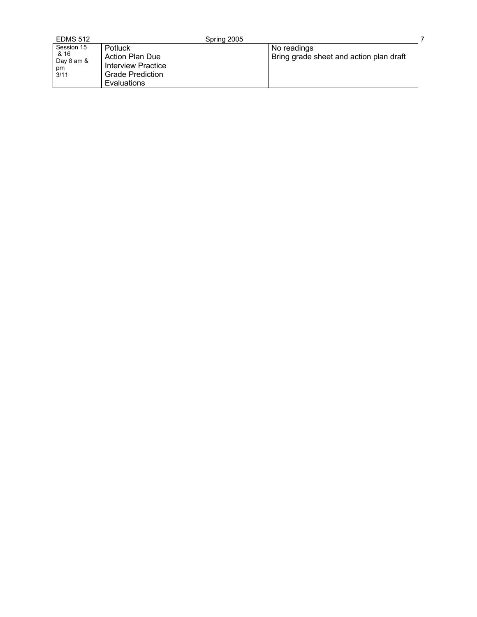| <b>EDMS 512</b>                                | Spring 2005                                                                                       |                                                        |  |
|------------------------------------------------|---------------------------------------------------------------------------------------------------|--------------------------------------------------------|--|
| Session 15<br>& 16<br>Day 8 am &<br>pm<br>3/11 | Potluck<br>Action Plan Due<br>Interview Practice<br><b>Grade Prediction</b><br><b>Evaluations</b> | No readings<br>Bring grade sheet and action plan draft |  |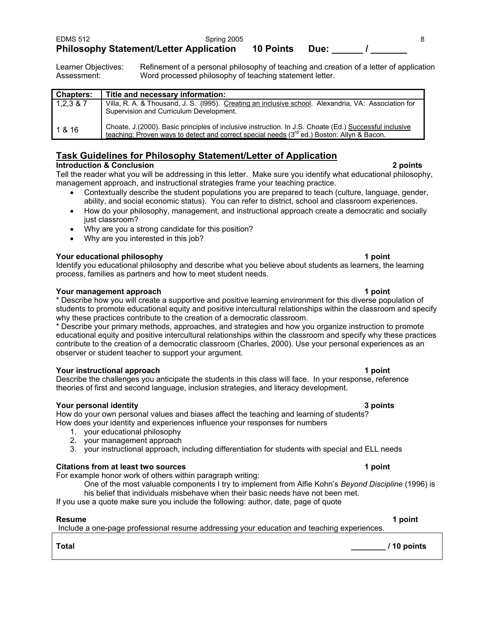Learner Objectives: Refinement of a personal philosophy of teaching and creation of a letter of application Assessment: Word processed philosophy of teaching statement letter.

| <b>Chapters:</b> | Title and necessary information:                                                                                                                                                                      |
|------------------|-------------------------------------------------------------------------------------------------------------------------------------------------------------------------------------------------------|
| 1,2,3,8,7        | Villa, R. A. & Thousand, J. S. (1995). Creating an inclusive school. Alexandria, VA: Association for<br>Supervision and Curriculum Development.                                                       |
| 1 & 16           | Choate, J. (2000). Basic principles of inclusive instruction. In J.S. Choate (Ed.) Successful inclusive<br>teaching: Proven ways to detect and correct special needs (3rd ed.) Boston: Allyn & Bacon. |

# **Task Guidelines for Philosophy Statement/Letter of Application**

# **Introduction & Conclusion** 2 points

Tell the reader what you will be addressing in this letter. Make sure you identify what educational philosophy, management approach, and instructional strategies frame your teaching practice.

- Contextually describe the student populations you are prepared to teach (culture, language, gender, ability, and social economic status). You can refer to district, school and classroom experiences.
- How do your philosophy, management, and instructional approach create a democratic and socially just classroom?
- Why are you a strong candidate for this position?
- Why are you interested in this job?

### **Your educational philosophy 1 point**

Identify you educational philosophy and describe what you believe about students as learners, the learning process, families as partners and how to meet student needs.

### **Your management approach 1 point 1 point 1 point 1 point 1 point**

\* Describe how you will create a supportive and positive learning environment for this diverse population of students to promote educational equity and positive intercultural relationships within the classroom and specify why these practices contribute to the creation of a democratic classroom.

\* Describe your primary methods, approaches, and strategies and how you organize instruction to promote educational equity and positive intercultural relationships within the classroom and specify why these practices contribute to the creation of a democratic classroom (Charles, 2000). Use your personal experiences as an observer or student teacher to support your argument.

### **Your instructional approach 1 point 1 point 1 point 1 point**

Describe the challenges you anticipate the students in this class will face. In your response, reference theories of first and second language, inclusion strategies, and literacy development.

### **Your personal identity 3 points**

How do your own personal values and biases affect the teaching and learning of students? How does your identity and experiences influence your responses for numbers

- 1. your educational philosophy
- 2. your management approach
- 3. your instructional approach, including differentiation for students with special and ELL needs

# **Citations from at least two sources 1 point 1 point 1 point 1 point 1 point 1 point 1 point 1 point 1 point 1 point 1 point 1 point 1 point 1 point 1 point 1 point 1 point 1 point 1 point 1 point 1 point 1 point 1 point 1**

For example honor work of others within paragraph writing:

One of the most valuable components I try to implement from Alfie Kohn's *Beyond Discipline* (1996) is his belief that individuals misbehave when their basic needs have not been met.

**Total \_\_\_\_\_\_\_\_ / 10 points** 

If you use a quote make sure you include the following: author, date, page of quote

### **Resume 1 point**

Include a one-page professional resume addressing your education and teaching experiences.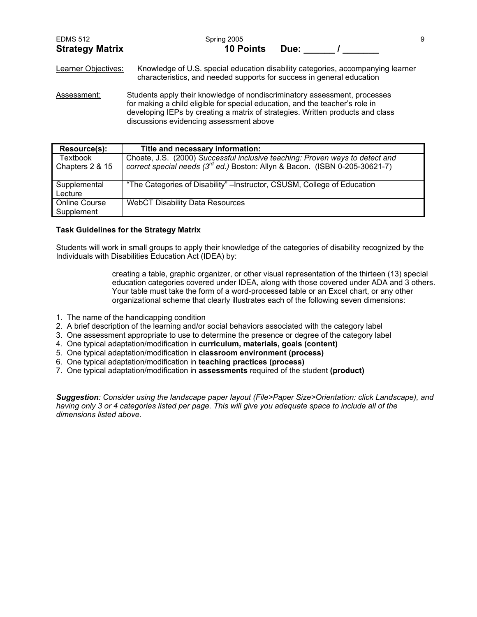| <b>EDMS 512</b>        | Spring 2005      |      |  |
|------------------------|------------------|------|--|
| <b>Strategy Matrix</b> | <b>10 Points</b> | Due: |  |

Learner Objectives: Knowledge of U.S. special education disability categories, accompanying learner characteristics, and needed supports for success in general education

Assessment: Students apply their knowledge of nondiscriminatory assessment, processes for making a child eligible for special education, and the teacher's role in developing IEPs by creating a matrix of strategies. Written products and class discussions evidencing assessment above

| Resource(s):                       | Title and necessary information:                                                                                                                                        |
|------------------------------------|-------------------------------------------------------------------------------------------------------------------------------------------------------------------------|
| Textbook<br>Chapters 2 & 15        | Choate, J.S. (2000) Successful inclusive teaching: Proven ways to detect and<br>correct special needs (3 <sup>rd</sup> ed.) Boston: Allyn & Bacon. (ISBN 0-205-30621-7) |
| Supplemental<br>Lecture            | "The Categories of Disability" – Instructor, CSUSM, College of Education                                                                                                |
| <b>Online Course</b><br>Supplement | <b>WebCT Disability Data Resources</b>                                                                                                                                  |

### **Task Guidelines for the Strategy Matrix**

Students will work in small groups to apply their knowledge of the categories of disability recognized by the Individuals with Disabilities Education Act (IDEA) by:

> creating a table, graphic organizer, or other visual representation of the thirteen (13) special education categories covered under IDEA, along with those covered under ADA and 3 others. Your table must take the form of a word-processed table or an Excel chart, or any other organizational scheme that clearly illustrates each of the following seven dimensions:

- 1. The name of the handicapping condition
- 2. A brief description of the learning and/or social behaviors associated with the category label
- 3. One assessment appropriate to use to determine the presence or degree of the category label
- 4. One typical adaptation/modification in **curriculum, materials, goals (content)**
- 5. One typical adaptation/modification in **classroom environment (process)**
- 6. One typical adaptation/modification in **teaching practices (process)**
- 7. One typical adaptation/modification in **assessments** required of the student **(product)**

*Suggestion: Consider using the landscape paper layout (File>Paper Size>Orientation: click Landscape), and having only 3 or 4 categories listed per page. This will give you adequate space to include all of the dimensions listed above.*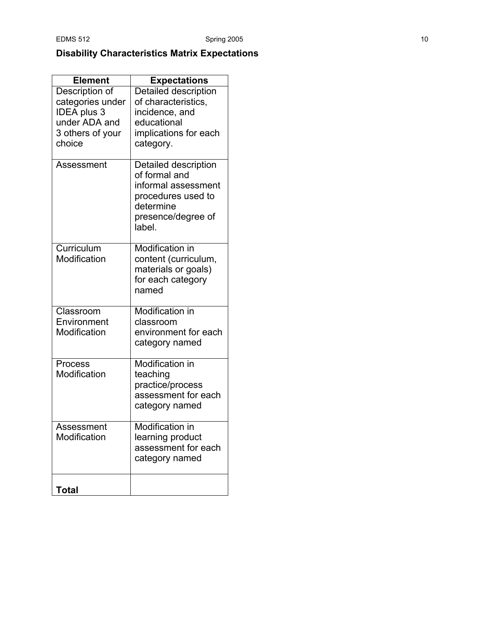# **Disability Characteristics Matrix Expectations**

| <b>Element</b>                                           | <b>Expectations</b>                                                                                                             |
|----------------------------------------------------------|---------------------------------------------------------------------------------------------------------------------------------|
| Description of<br>categories under<br><b>IDEA</b> plus 3 | Detailed description<br>of characteristics,<br>incidence, and                                                                   |
| under ADA and<br>3 others of your<br>choice              | educational<br>implications for each<br>category.                                                                               |
| Assessment                                               | Detailed description<br>of formal and<br>informal assessment<br>procedures used to<br>determine<br>presence/degree of<br>label. |
| Curriculum<br>Modification                               | Modification in<br>content (curriculum,<br>materials or goals)<br>for each category<br>named                                    |
| Classroom<br>Environment<br>Modification                 | <b>Modification in</b><br>classroom<br>environment for each<br>category named                                                   |
| Process<br>Modification                                  | <b>Modification in</b><br>teaching<br>practice/process<br>assessment for each<br>category named                                 |
| Assessment<br>Modification                               | Modification in<br>learning product<br>assessment for each<br>category named                                                    |
| <b>Total</b>                                             |                                                                                                                                 |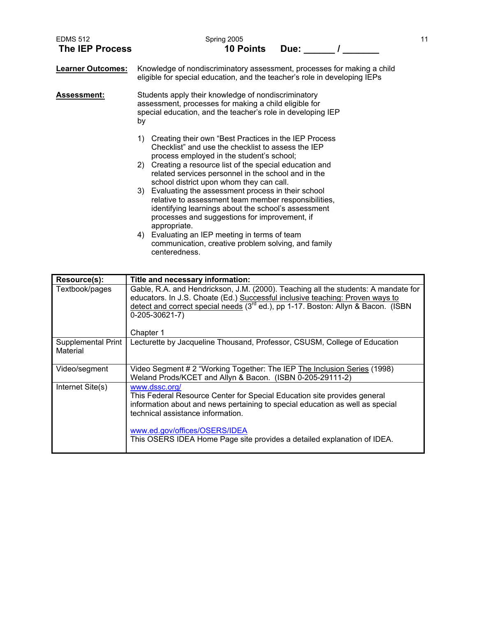| <b>EDMS 512</b><br><b>The IEP Process</b> | Spring 2005<br><b>10 Points</b><br>Due:                                                                                                                                                                                                                                                                                        | 11 |
|-------------------------------------------|--------------------------------------------------------------------------------------------------------------------------------------------------------------------------------------------------------------------------------------------------------------------------------------------------------------------------------|----|
| <b>Learner Outcomes:</b>                  | Knowledge of nondiscriminatory assessment, processes for making a child<br>eligible for special education, and the teacher's role in developing IEPs                                                                                                                                                                           |    |
| <b>Assessment:</b>                        | Students apply their knowledge of nondiscriminatory<br>assessment, processes for making a child eligible for<br>special education, and the teacher's role in developing IEP<br>by                                                                                                                                              |    |
|                                           | Creating their own "Best Practices in the IEP Process"<br>1)<br>Checklist" and use the checklist to assess the IEP<br>process employed in the student's school;<br>2) Creating a resource list of the special education and<br>related services personnel in the school and in the<br>school district upon whom they can call. |    |
|                                           | 3) Evaluating the assessment process in their school<br>relative to assessment team member responsibilities,<br>identifying learnings about the school's assessment<br>processes and suggestions for improvement, if<br>appropriate.                                                                                           |    |
|                                           | 4) Evaluating an IEP meeting in terms of team<br>communication, creative problem solving, and family<br>centeredness.                                                                                                                                                                                                          |    |

| Resource(s):                   | Title and necessary information:                                                                                                                                                                                                                                                                                            |
|--------------------------------|-----------------------------------------------------------------------------------------------------------------------------------------------------------------------------------------------------------------------------------------------------------------------------------------------------------------------------|
| Textbook/pages                 | Gable, R.A. and Hendrickson, J.M. (2000). Teaching all the students: A mandate for<br>educators. In J.S. Choate (Ed.) Successful inclusive teaching: Proven ways to<br>detect and correct special needs (3 <sup>rd</sup> ed.), pp 1-17. Boston: Allyn & Bacon. (ISBN<br>$0-205-30621-7)$<br>Chapter 1                       |
| Supplemental Print<br>Material | Lecturette by Jacqueline Thousand, Professor, CSUSM, College of Education                                                                                                                                                                                                                                                   |
| Video/segment                  | Video Segment # 2 "Working Together: The IEP The Inclusion Series (1998)<br>Weland Prods/KCET and Allyn & Bacon. (ISBN 0-205-29111-2)                                                                                                                                                                                       |
| Internet Site(s)               | www.dssc.org/<br>This Federal Resource Center for Special Education site provides general<br>information about and news pertaining to special education as well as special<br>technical assistance information.<br>www.ed.gov/offices/OSERS/IDEA<br>This OSERS IDEA Home Page site provides a detailed explanation of IDEA. |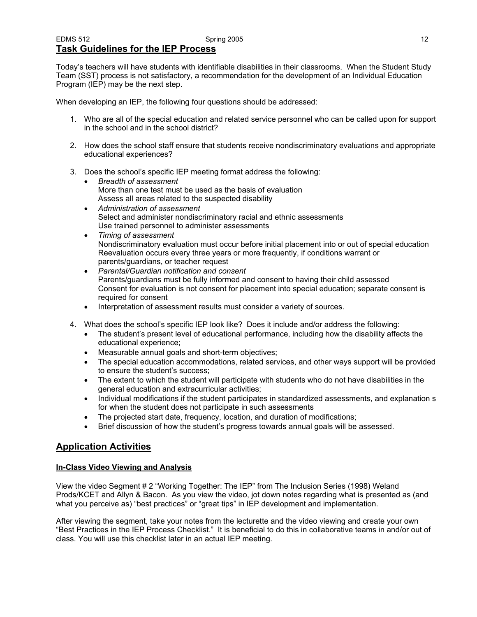Today's teachers will have students with identifiable disabilities in their classrooms. When the Student Study Team (SST) process is not satisfactory, a recommendation for the development of an Individual Education Program (IEP) may be the next step.

When developing an IEP, the following four questions should be addressed:

- 1. Who are all of the special education and related service personnel who can be called upon for support in the school and in the school district?
- 2. How does the school staff ensure that students receive nondiscriminatory evaluations and appropriate educational experiences?
- 3. Does the school's specific IEP meeting format address the following:
	- *Breadth of assessment*  More than one test must be used as the basis of evaluation Assess all areas related to the suspected disability
	- *Administration of assessment*  Select and administer nondiscriminatory racial and ethnic assessments Use trained personnel to administer assessments
	- *Timing of assessment*  Nondiscriminatory evaluation must occur before initial placement into or out of special education Reevaluation occurs every three years or more frequently, if conditions warrant or parents/guardians, or teacher request
	- *Parental/Guardian notification and consent*  Parents/guardians must be fully informed and consent to having their child assessed Consent for evaluation is not consent for placement into special education; separate consent is required for consent
	- Interpretation of assessment results must consider a variety of sources.
- 4. What does the school's specific IEP look like? Does it include and/or address the following:
	- The student's present level of educational performance, including how the disability affects the educational experience;
	- Measurable annual goals and short-term objectives;
	- The special education accommodations, related services, and other ways support will be provided to ensure the student's success;
	- The extent to which the student will participate with students who do not have disabilities in the general education and extracurricular activities;
	- Individual modifications if the student participates in standardized assessments, and explanation s for when the student does not participate in such assessments
	- The projected start date, frequency, location, and duration of modifications;
	- Brief discussion of how the student's progress towards annual goals will be assessed.

# **Application Activities**

### **In-Class Video Viewing and Analysis**

View the video Segment # 2 "Working Together: The IEP" from The Inclusion Series (1998) Weland Prods/KCET and Allyn & Bacon. As you view the video, jot down notes regarding what is presented as (and what you perceive as) "best practices" or "great tips" in IEP development and implementation.

After viewing the segment, take your notes from the lecturette and the video viewing and create your own "Best Practices in the IEP Process Checklist." It is beneficial to do this in collaborative teams in and/or out of class. You will use this checklist later in an actual IEP meeting.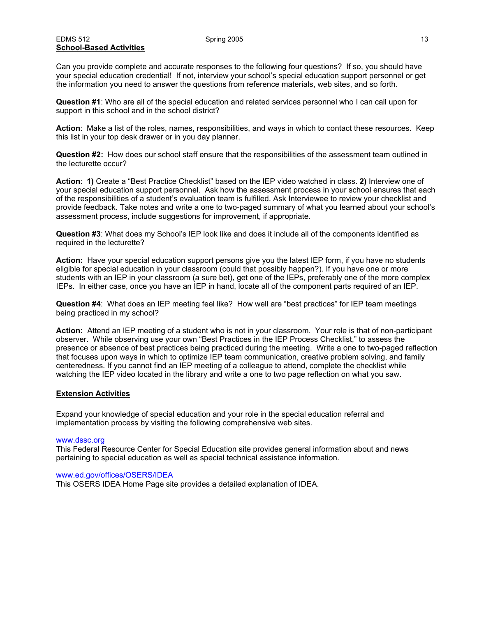### EDMS 512 Spring 2005 13 **School-Based Activities**

Can you provide complete and accurate responses to the following four questions? If so, you should have your special education credential! If not, interview your school's special education support personnel or get the information you need to answer the questions from reference materials, web sites, and so forth.

**Question #1**: Who are all of the special education and related services personnel who I can call upon for support in this school and in the school district?

**Action**: Make a list of the roles, names, responsibilities, and ways in which to contact these resources. Keep this list in your top desk drawer or in you day planner.

**Question #2:** How does our school staff ensure that the responsibilities of the assessment team outlined in the lecturette occur?

**Action**: **1)** Create a "Best Practice Checklist" based on the IEP video watched in class. **2)** Interview one of your special education support personnel. Ask how the assessment process in your school ensures that each of the responsibilities of a student's evaluation team is fulfilled. Ask Interviewee to review your checklist and provide feedback. Take notes and write a one to two-paged summary of what you learned about your school's assessment process, include suggestions for improvement, if appropriate.

**Question #3**: What does my School's IEP look like and does it include all of the components identified as required in the lecturette?

**Action:** Have your special education support persons give you the latest IEP form, if you have no students eligible for special education in your classroom (could that possibly happen?). If you have one or more students with an IEP in your classroom (a sure bet), get one of the IEPs, preferably one of the more complex IEPs. In either case, once you have an IEP in hand, locate all of the component parts required of an IEP.

**Question #4**: What does an IEP meeting feel like? How well are "best practices" for IEP team meetings being practiced in my school?

**Action:** Attend an IEP meeting of a student who is not in your classroom. Your role is that of non-participant observer. While observing use your own "Best Practices in the IEP Process Checklist," to assess the presence or absence of best practices being practiced during the meeting. Write a one to two-paged reflection that focuses upon ways in which to optimize IEP team communication, creative problem solving, and family centeredness. If you cannot find an IEP meeting of a colleague to attend, complete the checklist while watching the IEP video located in the library and write a one to two page reflection on what you saw.

### **Extension Activities**

Expand your knowledge of special education and your role in the special education referral and implementation process by visiting the following comprehensive web sites.

### www.dssc.org

This Federal Resource Center for Special Education site provides general information about and news pertaining to special education as well as special technical assistance information.

### www.ed.gov/offices/OSERS/IDEA This OSERS IDEA Home Page site provides a detailed explanation of IDEA.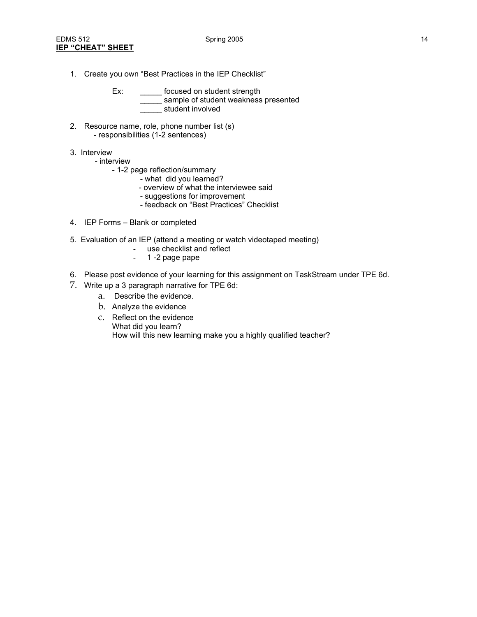- 1. Create you own "Best Practices in the IEP Checklist"
	- Ex: \_\_\_\_\_\_\_ focused on student strength sample of student weakness presented \_\_\_\_\_ student involved
- 2. Resource name, role, phone number list (s) - responsibilities (1-2 sentences)
- 3. Interview
	- interview
		- 1-2 page reflection/summary
			- what did you learned?
			- overview of what the interviewee said
			- suggestions for improvement
			- feedback on "Best Practices" Checklist
- 4. IEP Forms Blank or completed
- 5. Evaluation of an IEP (attend a meeting or watch videotaped meeting)
	- use checklist and reflect
	- 1 -2 page pape
- 6. Please post evidence of your learning for this assignment on TaskStream under TPE 6d.
- 7. Write up a 3 paragraph narrative for TPE 6d:
	- a. Describe the evidence.
	- b. Analyze the evidence
	- c. Reflect on the evidence What did you learn? How will this new learning make you a highly qualified teacher?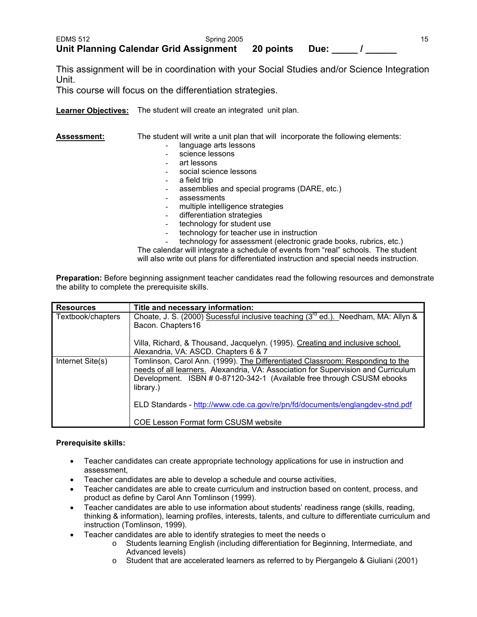This assignment will be in coordination with your Social Studies and/or Science Integration Unit.

This course will focus on the differentiation strategies.

**Learner Objectives:** The student will create an integrated unit plan.

Assessment: The student will write a unit plan that will incorporate the following elements:

- language arts lessons
- science lessons
- art lessons
- social science lessons
- a field trip
- assemblies and special programs (DARE, etc.)
- assessments
- multiple intelligence strategies
- differentiation strategies
- technology for student use
- technology for teacher use in instruction
- technology for assessment (electronic grade books, rubrics, etc.) The calendar will integrate a schedule of events from "real" schools. The student

will also write out plans for differentiated instruction and special needs instruction.

**Preparation:** Before beginning assignment teacher candidates read the following resources and demonstrate the ability to complete the prerequisite skills.

| <b>Resources</b>  | Title and necessary information:                                                              |
|-------------------|-----------------------------------------------------------------------------------------------|
| Textbook/chapters | Choate, J. S. (2000) Sucessful inclusive teaching (3 <sup>rd</sup> ed.). Needham, MA: Allyn & |
|                   | Bacon. Chapters16                                                                             |
|                   | Villa, Richard, & Thousand, Jacquelyn. (1995). Creating and inclusive school.                 |
|                   | Alexandria, VA: ASCD. Chapters 6 & 7                                                          |
| Internet Site(s)  | Tomlinson, Carol Ann. (1999). The Differentiated Classroom: Responding to the                 |
|                   | needs of all learners. Alexandria, VA: Association for Supervision and Curriculum             |
|                   | Development. ISBN # 0-87120-342-1 (Available free through CSUSM ebooks<br>library.)           |
|                   | ELD Standards - http://www.cde.ca.gov/re/pn/fd/documents/englangdev-stnd.pdf                  |
|                   | <b>COE Lesson Format form CSUSM website</b>                                                   |

### **Prerequisite skills:**

- Teacher candidates can create appropriate technology applications for use in instruction and assessment,
- Teacher candidates are able to develop a schedule and course activities,
- Teacher candidates are able to create curriculum and instruction based on content, process, and product as define by Carol Ann Tomlinson (1999).
- Teacher candidates are able to use information about students' readiness range (skills, reading, thinking & information), learning profiles, interests, talents, and culture to differentiate curriculum and instruction (Tomlinson, 1999).
- Teacher candidates are able to identify strategies to meet the needs o
	- o Students learning English (including differentiation for Beginning, Intermediate, and Advanced levels)
	- o Student that are accelerated learners as referred to by Piergangelo & Giuliani (2001)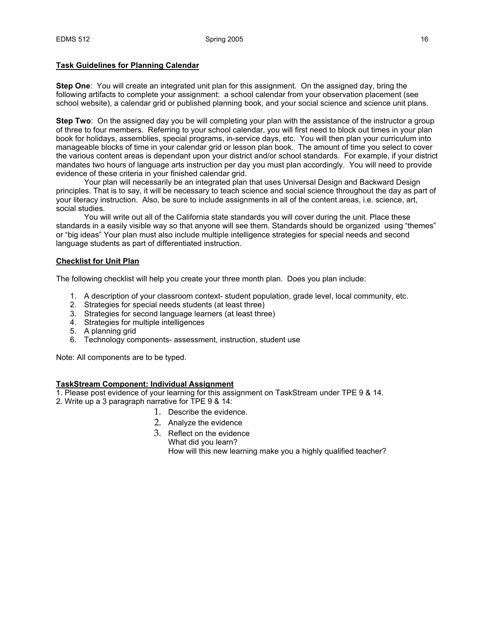### **Task Guidelines for Planning Calendar**

**Step One**: You will create an integrated unit plan for this assignment. On the assigned day, bring the following artifacts to complete your assignment: a school calendar from your observation placement (see school website), a calendar grid or published planning book, and your social science and science unit plans.

**Step Two**: On the assigned day you be will completing your plan with the assistance of the instructor a group of three to four members. Referring to your school calendar, you will first need to block out times in your plan book for holidays, assemblies, special programs, in-service days, etc. You will then plan your curriculum into manageable blocks of time in your calendar grid or lesson plan book. The amount of time you select to cover the various content areas is dependant upon your district and/or school standards. For example, if your district mandates two hours of language arts instruction per day you must plan accordingly. You will need to provide evidence of these criteria in your finished calendar grid.

 Your plan will necessarily be an integrated plan that uses Universal Design and Backward Design principles. That is to say, it will be necessary to teach science and social science throughout the day as part of your literacy instruction. Also, be sure to include assignments in all of the content areas, i.e. science, art, social studies.

 You will write out all of the California state standards you will cover during the unit. Place these standards in a easily visible way so that anyone will see them. Standards should be organized using "themes" or "big ideas" Your plan must also include multiple intelligence strategies for special needs and second language students as part of differentiated instruction.

### **Checklist for Unit Plan**

The following checklist will help you create your three month plan. Does you plan include:

- 1. A description of your classroom context- student population, grade level, local community, etc.
- 2. Strategies for special needs students (at least three)
- 3. Strategies for second language learners (at least three)
- 4. Strategies for multiple intelligences
- 5. A planning grid
- 6. Technology components- assessment, instruction, student use

Note: All components are to be typed.

### **TaskStream Component: Individual Assignment**

- 1. Please post evidence of your learning for this assignment on TaskStream under TPE 9 & 14.
- 2. Write up a 3 paragraph narrative for TPE 9 & 14:
	- 1. Describe the evidence.
	- 2. Analyze the evidence
	- 3. Reflect on the evidence What did you learn? How will this new learning make you a highly qualified teacher?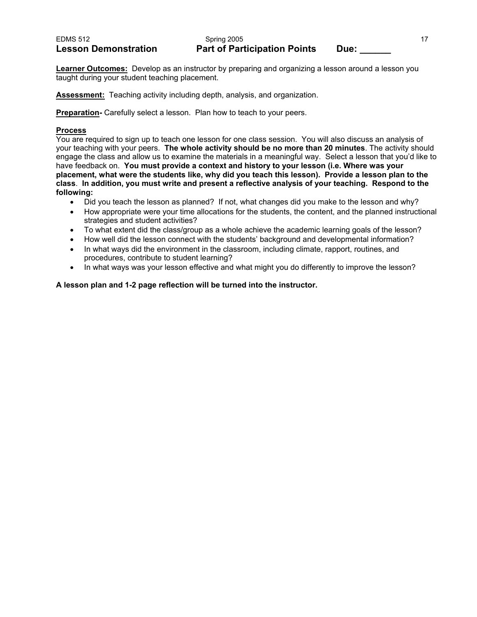### EDMS 512 **Spring 2005** 17 **Spring 2005** Lesson Demonstration **Part of Participation Points** Due:

**Learner Outcomes:** Develop as an instructor by preparing and organizing a lesson around a lesson you taught during your student teaching placement.

**Assessment:** Teaching activity including depth, analysis, and organization.

**Preparation-** Carefully select a lesson. Plan how to teach to your peers.

# **Process**

You are required to sign up to teach one lesson for one class session. You will also discuss an analysis of your teaching with your peers. **The whole activity should be no more than 20 minutes**. The activity should engage the class and allow us to examine the materials in a meaningful way. Select a lesson that you'd like to have feedback on. **You must provide a context and history to your lesson (i.e. Where was your placement, what were the students like, why did you teach this lesson). Provide a lesson plan to the class**. **In addition, you must write and present a reflective analysis of your teaching. Respond to the following:**

- Did you teach the lesson as planned? If not, what changes did you make to the lesson and why?
- How appropriate were your time allocations for the students, the content, and the planned instructional strategies and student activities?
- To what extent did the class/group as a whole achieve the academic learning goals of the lesson?
- How well did the lesson connect with the students' background and developmental information?
- In what ways did the environment in the classroom, including climate, rapport, routines, and procedures, contribute to student learning?
- In what ways was your lesson effective and what might you do differently to improve the lesson?

**A lesson plan and 1-2 page reflection will be turned into the instructor.**